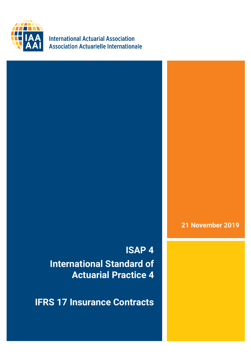

**International Actuarial Association Association Actuarielle Internationale** 

**21 November 2019**

**ISAP 4 International Standard of Actuarial Practice 4**

**IFRS 17 Insurance Contracts**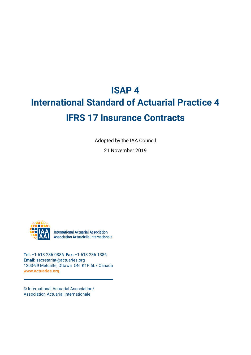# **ISAP 4 International Standard of Actuarial Practice 4 IFRS 17 Insurance Contracts**

Adopted by the IAA Council

21 November 2019



**International Actuarial Association Association Actuarielle Internationale** 

**Tel:** +1-613-236-0886 **Fax:** +1-613-236-1386 **Email:** secretariat@actuaries.org 1203-99 Metcalfe, Ottawa ON K1P 6L7 Canada **[www.actuaries.org](http://www.actuaries.org/)**

© International Actuarial Association/ Association Actuarial Internationale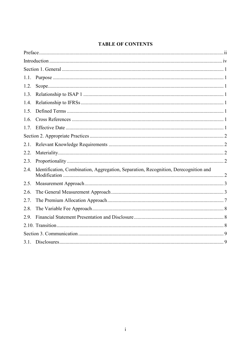# **TABLE OF CONTENTS**

| 1.1. |                                                                                      |
|------|--------------------------------------------------------------------------------------|
| 1.2. |                                                                                      |
| 1.3. |                                                                                      |
| 1.4. |                                                                                      |
| 1.5. |                                                                                      |
| 1.6. |                                                                                      |
| 1.7. |                                                                                      |
|      |                                                                                      |
| 2.1. |                                                                                      |
| 2.2. |                                                                                      |
| 2.3. |                                                                                      |
| 2.4. | Identification, Combination, Aggregation, Separation, Recognition, Derecognition and |
| 2.5. |                                                                                      |
| 2.6. |                                                                                      |
| 2.7. |                                                                                      |
| 2.8. |                                                                                      |
| 2.9. |                                                                                      |
|      |                                                                                      |
|      |                                                                                      |
|      |                                                                                      |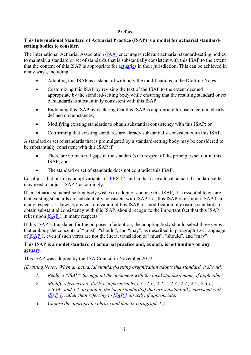#### **Preface**

# <span id="page-3-0"></span>**This International Standard of Actuarial Practice (ISAP) is a model for actuarial standardsetting bodies to consider.**

The International Actuarial Association [\(IAA\)](https://www.actuaries.org/IAA/Documents/CTTEES_ASC/ISAPs_Glossary_Terms/IAA.html) encourages relevant actuarial standard-setting bodies to maintain a standard or set of standards that is substantially consistent with this ISAP to the extent that the content of this ISAP is appropriate for [actuaries](https://www.actuaries.org/IAA/Documents/CTTEES_ASC/ISAPs_Glossary_Terms/Actuary.html) in their jurisdiction. This can be achieved in many ways, including:

- Adopting this ISAP as a standard with only the modifications in the Drafting Notes;
- Customizing this ISAP by revising the text of the ISAP to the extent deemed appropriate by the standard-setting body while ensuring that the resulting standard or set of standards is substantially consistent with this ISAP;
- Endorsing this ISAP by declaring that this ISAP is appropriate for use in certain clearly defined circumstances;
- Modifying existing standards to obtain substantial consistency with this ISAP; or
- Confirming that existing standards are already substantially consistent with this ISAP.

A standard or set of standards that is promulgated by a standard-setting body may be considered to be substantially consistent with this ISAP if:

- There are no material gaps in the standard(s) in respect of the principles set out in this ISAP; and
- The standard or set of standards does not contradict this ISAP.

Local jurisdictions may adopt variants of [IFRS 17,](https://www.actuaries.org/IAA/Documents/CTTEES_ASC/ISAPs_Glossary_Terms/IFRS17.html) and in that case a local actuarial standard-setter may need to adjust ISAP 4 accordingly.

If an actuarial standard-setting body wishes to adopt or endorse this ISAP, it is essential to ensure that existing standards are substantially consistent with [ISAP 1](https://www.actuaries.org/IAA/Documents/CTTEES_ASC/Final_ISAPs_Posted/ISAP1_Review_adopted_1Dec2018.pdf) as this ISAP relies upon [ISAP 1](https://www.actuaries.org/IAA/Documents/CTTEES_ASC/Final_ISAPs_Posted/ISAP1_Review_adopted_1Dec2018.pdf) in many respects. Likewise, any customization of this ISAP, or modification of existing standards to obtain substantial consistency with this ISAP, should recognize the important fact that this ISAP relies upon [ISAP 1](https://www.actuaries.org/IAA/Documents/CTTEES_ASC/Final_ISAPs_Posted/ISAP1_Review_adopted_1Dec2018.pdf) in many respects.

If this ISAP is translated for the purposes of adoption, the adopting body should select three verbs that embody the concepts of "must", "should", and "may", as described in paragraph 1.6. Language of [ISAP 1,](https://www.actuaries.org/IAA/Documents/CTTEES_ASC/Final_ISAPs_Posted/ISAP1_Review_adopted_1Dec2018.pdf) even if such verbs are not the literal translation of "must", "should", and "may".

# **This ISAP is a model standard of actuarial practice and, as such, is not binding on any [actuary.](https://www.actuaries.org/IAA/Documents/CTTEES_ASC/ISAPs_Glossary_Terms/Actuary.html)**

This ISAP was adopted by the [IAA](https://www.actuaries.org/IAA/Documents/CTTEES_ASC/ISAPs_Glossary_Terms/IAA.html) Council in November 2019.

*[Drafting Notes: When an actuarial standard-setting organization adopts this standard, it should:*

- *1. Replace "ISAP" throughout the document with the local standard name, if applicable;*
- *2. Modify references to [ISAP 1](https://www.actuaries.org/IAA/Documents/CTTEES_ASC/Final_ISAPs_Posted/ISAP1_Review_adopted_1Dec2018.pdf) in paragraphs [1.3.](#page-6-3), [2.1.](#page-7-1), [2.2.2.](#page-7-5), [2.3.](#page-7-3), [2.4.](#page-7-4), [2.5.](#page-8-0), [2.6.1.](#page-8-2), [2.6.14.](#page-12-1), and [3.1.](#page-14-1) to point to the local standard(s) that are substantially consistent with [ISAP 1,](https://www.actuaries.org/IAA/Documents/CTTEES_ASC/Final_ISAPs_Posted/ISAP1_Review_adopted_1Dec2018.pdf) rather than referring to [ISAP 1](https://www.actuaries.org/IAA/Documents/CTTEES_ASC/Final_ISAPs_Posted/ISAP1_Review_adopted_1Dec2018.pdf) directly, if appropriate;*
- *3. Choose the appropriate phrase and date in paragraph [1.7.](#page-6-7);*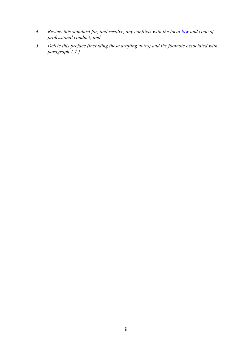- *4. Review this standard for, and resolve, any conflicts with the local [law](https://www.actuaries.org/IAA/Documents/CTTEES_ASC/ISAPs_Glossary_Terms/Law.html) and code of professional conduct; and*
- *5. Delete this preface (including these drafting notes) and the footnote associated with paragraph [1.7.](#page-6-7)]*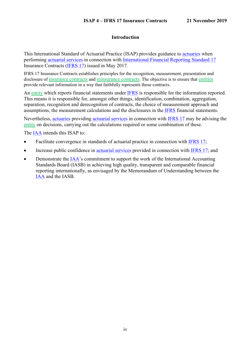# **Introduction**

<span id="page-5-0"></span>This International Standard of Actuarial Practice (ISAP) provides guidance to [actuaries](https://www.actuaries.org/IAA/Documents/CTTEES_ASC/ISAPs_Glossary_Terms/Actuary.html) when performing [actuarial services](https://www.actuaries.org/IAA/Documents/CTTEES_ASC/ISAPs_Glossary_Terms/Actuarial_Services.html) in connection with [International Financial Reporting Standard 17](https://www.actuaries.org/IAA/Documents/CTTEES_ASC/ISAPs_Glossary_Terms/IFRS17.html) Insurance Contracts [\(IFRS 17\)](https://www.actuaries.org/IAA/Documents/CTTEES_ASC/ISAPs_Glossary_Terms/IFRS17.html) issued in May 2017*.*

IFRS 17 Insurance Contracts establishes principles for the recognition, measurement, presentation and disclosure of insurance contracts and reinsurance contracts. The objective is to ensure that entities provide relevant information in a way that faithfully represents those contracts.

An entity which reports financial statements under [IFRS](https://www.actuaries.org/IAA/Documents/CTTEES_ASC/ISAPs_Glossary_Terms/International_Financial_Reporting_Standards.html) is responsible for the information reported. This means it is responsible for, amongst other things, identification, combination, aggregation, separation, recognition and derecognition of contracts, the choice of measurement approach and assumptions, the measurement calculations and the disclosures in the [IFRS](https://www.actuaries.org/IAA/Documents/CTTEES_ASC/ISAPs_Glossary_Terms/International_Financial_Reporting_Standards.html) financial statements.

Nevertheless, [actuaries](https://www.actuaries.org/IAA/Documents/CTTEES_ASC/ISAPs_Glossary_Terms/Actuary.html) providing [actuarial services](https://www.actuaries.org/IAA/Documents/CTTEES_ASC/ISAPs_Glossary_Terms/Actuarial_Services.html) in connection with [IFRS 17](https://www.actuaries.org/IAA/Documents/CTTEES_ASC/ISAPs_Glossary_Terms/IFRS17.html) may be advising the entity on decisions, carrying out the calculations required or some combination of these.

The [IAA](https://www.actuaries.org/IAA/Documents/CTTEES_ASC/ISAPs_Glossary_Terms/IAA.html) intends this ISAP to:

- Facilitate convergence in standards of actuarial practice in connection with [IFRS 17;](https://www.actuaries.org/IAA/Documents/CTTEES_ASC/ISAPs_Glossary_Terms/IFRS17.html)
- Increase public confidence in [actuarial services](https://www.actuaries.org/IAA/Documents/CTTEES_ASC/ISAPs_Glossary_Terms/Actuarial_Services.html) provided in connection with [IFRS 17;](https://www.actuaries.org/IAA/Documents/CTTEES_ASC/ISAPs_Glossary_Terms/IFRS17.html) and
- Demonstrate the [IAA'](https://www.actuaries.org/IAA/Documents/CTTEES_ASC/ISAPs_Glossary_Terms/IAA.html)s commitment to support the work of the International Accounting Standards Board (IASB) in achieving high quality, transparent and comparable financial reporting internationally, as envisaged by the Memorandum of Understanding between the [IAA](https://www.actuaries.org/IAA/Documents/CTTEES_ASC/ISAPs_Glossary_Terms/IAA.html) and the IASB.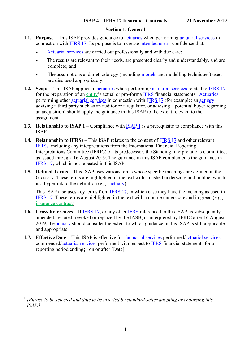# **Section 1. General**

- <span id="page-6-1"></span><span id="page-6-0"></span>**1.1. Purpose** – This ISAP provides guidance to **[actuaries](https://www.actuaries.org/IAA/Documents/CTTEES_ASC/ISAPs_Glossary_Terms/Actuary.html)** when performing **[actuarial services](https://www.actuaries.org/IAA/Documents/CTTEES_ASC/ISAPs_Glossary_Terms/Actuarial_Services.html)** in connection with [IFRS 17.](https://www.actuaries.org/IAA/Documents/CTTEES_ASC/ISAPs_Glossary_Terms/IFRS17.html) Its purpose is to increase [intended users'](https://www.actuaries.org/IAA/Documents/CTTEES_ASC/ISAPs_Glossary_Terms/Intended_User.html) confidence that:
	- [Actuarial services](https://www.actuaries.org/IAA/Documents/CTTEES_ASC/ISAPs_Glossary_Terms/Actuarial_Services.html) are carried out professionally and with due care;
	- The results are relevant to their needs, are presented clearly and understandably, and are complete; and
	- The assumptions and methodology (including [models](https://www.actuaries.org/IAA/Documents/CTTEES_ASC/ISAPs_Glossary_Terms/Model.html) and modelling techniques) used are disclosed appropriately.
- <span id="page-6-2"></span>**1.2. Scope** – This ISAP applies to [actuaries](https://www.actuaries.org/IAA/Documents/CTTEES_ASC/ISAPs_Glossary_Terms/Actuary.html) when performing [actuarial services](https://www.actuaries.org/IAA/Documents/CTTEES_ASC/ISAPs_Glossary_Terms/Actuarial_Services.html) related to [IFRS 17](https://www.actuaries.org/IAA/Documents/CTTEES_ASC/ISAPs_Glossary_Terms/IFRS17.html) for the preparation of an entity's actual or pro-forma [IFRS](https://www.actuaries.org/IAA/Documents/CTTEES_ASC/ISAPs_Glossary_Terms/International_Financial_Reporting_Standards.html) financial statements. [Actuaries](https://www.actuaries.org/IAA/Documents/CTTEES_ASC/ISAPs_Glossary_Terms/Actuary.html) performing other [actuarial services](https://www.actuaries.org/IAA/Documents/CTTEES_ASC/ISAPs_Glossary_Terms/Actuarial_Services.html) in connection with [IFRS 17](https://www.actuaries.org/IAA/Documents/CTTEES_ASC/ISAPs_Glossary_Terms/IFRS17.html) (for example: an [actuary](https://www.actuaries.org/IAA/Documents/CTTEES_ASC/ISAPs_Glossary_Terms/Actuary.html) advising a third party such as an auditor or a regulator, or advising a potential buyer regarding an acquisition) should apply the guidance in this ISAP to the extent relevant to the assignment.
- <span id="page-6-3"></span>**1.3. Relationship to ISAP 1** – Compliance with [ISAP 1](https://www.actuaries.org/IAA/Documents/CTTEES_ASC/Final_ISAPs_Posted/ISAP1_Review_adopted_1Dec2018.pdf) is a prerequisite to compliance with this ISAP.
- <span id="page-6-4"></span>**1.4. Relationship to IFRSs –** This ISAP relates to the content of [IFRS 17](https://www.actuaries.org/IAA/Documents/CTTEES_ASC/ISAPs_Glossary_Terms/IFRS17.html) and other relevant [IFRSs](https://www.actuaries.org/IAA/Documents/CTTEES_ASC/ISAPs_Glossary_Terms/International_Financial_Reporting_Standards.html), including any interpretations from the International Financial Reporting Interpretations Committee (IFRIC) or its predecessor, the Standing Interpretations Committee, as issued through 16 August 2019. The guidance in this ISAP complements the guidance in [IFRS 17,](https://www.actuaries.org/IAA/Documents/CTTEES_ASC/ISAPs_Glossary_Terms/IFRS17.html) which is not repeated in this ISAP.
- <span id="page-6-5"></span>**1.5. Defined Terms** – This ISAP uses various terms whose specific meanings are defined in the Glossary. These terms are highlighted in the text with a dashed underscore and in blue, which is a hyperlink to the definition (e.g., [actuary\)](https://www.actuaries.org/IAA/Documents/CTTEES_ASC/ISAPs_Glossary_Terms/Actuary.html).

This ISAP also uses key terms from [IFRS 17,](https://www.actuaries.org/IAA/Documents/CTTEES_ASC/ISAPs_Glossary_Terms/IFRS17.html) in which case they have the meaning as used in [IFRS 17.](https://www.actuaries.org/IAA/Documents/CTTEES_ASC/ISAPs_Glossary_Terms/IFRS17.html) These terms are highlighted in the text with a double underscore and in green (e.g., insurance contract).

- <span id="page-6-6"></span>**1.6. Cross References** – If [IFRS 17,](https://www.actuaries.org/IAA/Documents/CTTEES_ASC/ISAPs_Glossary_Terms/IFRS17.html) or any other [IFRS](https://www.actuaries.org/IAA/Documents/CTTEES_ASC/ISAPs_Glossary_Terms/IFRS.html) referenced in this ISAP, is subsequently amended, restated, revoked or replaced by the IASB, or interpreted by IFRIC after 16 August 2019, the [actuary](https://www.actuaries.org/IAA/Documents/CTTEES_ASC/ISAPs_Glossary_Terms/Actuary.html) should consider the extent to which guidance in this ISAP is still applicable and appropriate.
- <span id="page-6-7"></span>**1.7. Effective Date** – This ISAP is effective for [{actuarial services](https://www.actuaries.org/IAA/Documents/CTTEES_ASC/ISAPs_Glossary_Terms/Actuarial_Services.html) performed[/actuarial services](https://www.actuaries.org/IAA/Documents/CTTEES_ASC/ISAPs_Glossary_Terms/Actuarial_Services.html) commenced[/actuarial services](https://www.actuaries.org/IAA/Documents/CTTEES_ASC/ISAPs_Glossary_Terms/Actuarial_Services.html) performed with respect to [IFRS](https://www.actuaries.org/IAA/Documents/CTTEES_ASC/ISAPs_Glossary_Terms/International_Financial_Reporting_Standards.html) financial statements for a reporting period ending $\}^1$  $\}^1$  on or after [Date].

<span id="page-6-8"></span><sup>1</sup> *[Phrase to be selected and date to be inserted by standard-setter adopting or endorsing this ISAP.]*.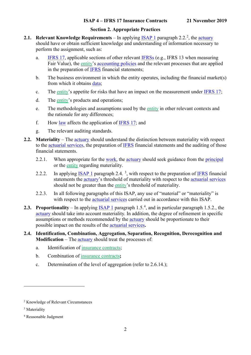# **Section 2. Appropriate Practices**

- <span id="page-7-1"></span><span id="page-7-0"></span>**[2](#page-7-6).1.** Relevant Knowledge Requirements – In applying **[ISAP 1](https://www.actuaries.org/IAA/Documents/CTTEES_ASC/Final_ISAPs_Posted/ISAP1_Review_adopted_1Dec2018.pdf)** paragraph 2.2.<sup>2</sup>, the [actuary](https://www.actuaries.org/IAA/Documents/CTTEES_ASC/ISAPs_Glossary_Terms/Actuary.html) should have or obtain sufficient knowledge and understanding of information necessary to perform the assignment, such as:
	- a. [IFRS 17,](https://www.actuaries.org/IAA/Documents/CTTEES_ASC/ISAPs_Glossary_Terms/IFRS17.html) applicable sections of other relevant [IFRSs](https://www.actuaries.org/IAA/Documents/CTTEES_ASC/ISAPs_Glossary_Terms/International_Financial_Reporting_Standards.html) (e.g., IFRS 13 when measuring Fair Value), the entity's [accounting policies](https://www.actuaries.org/IAA/Documents/CTTEES_ASC/ISAPs_Glossary_Terms/Accounting_Policies.html) and the relevant processes that are applied in the preparation of [IFRS](https://www.actuaries.org/IAA/Documents/CTTEES_ASC/ISAPs_Glossary_Terms/International_Financial_Reporting_Standards.html) financial statements;
	- b. The business environment in which the entity operates, including the financial market(s) from which it obtains [data;](https://www.actuaries.org/IAA/Documents/CTTEES_ASC/ISAPs_Glossary_Terms/data.html)
	- c. The entity's appetite for risks that have an impact on the measurement under [IFRS 17;](https://www.actuaries.org/IAA/Documents/CTTEES_ASC/ISAPs_Glossary_Terms/IFRS17.html)
	- d. The entity's products and operations;
	- e. The methodologies and assumptions used by the entity in other relevant contexts and the rationale for any differences;
	- f. How [law](https://www.actuaries.org/IAA/Documents/CTTEES_ASC/ISAPs_Glossary_Terms/Law.html) affects the application of [IFRS 17;](https://www.actuaries.org/IAA/Documents/CTTEES_ASC/ISAPs_Glossary_Terms/IFRS17.html) and
	- g. The relevant auditing standards.
- <span id="page-7-5"></span><span id="page-7-2"></span>**2.2. Materiality** – The [actuary](https://www.actuaries.org/IAA/Documents/CTTEES_ASC/ISAPs_Glossary_Terms/Actuary.html) should understand the distinction between materiality with respect to the [actuarial services,](https://www.actuaries.org/IAA/Documents/CTTEES_ASC/ISAPs_Glossary_Terms/Actuarial_Services.html) the preparation of [IFRS](https://www.actuaries.org/IAA/Documents/CTTEES_ASC/ISAPs_Glossary_Terms/International_Financial_Reporting_Standards.html) financial statements and the auditing of those financial statements.
	- 2.2.1. When appropriate for the [work,](https://www.actuaries.org/IAA/Documents/CTTEES_ASC/ISAPs_Glossary_Terms/work.html) the [actuary](https://www.actuaries.org/IAA/Documents/CTTEES_ASC/ISAPs_Glossary_Terms/Actuary.html) should seek guidance from the [principal](https://www.actuaries.org/IAA/Documents/CTTEES_ASC/ISAPs_Glossary_Terms/Principal.html) or the entity regarding materiality.
	- 2.2.2. In applying **ISAP 1** paragraph 2.4.<sup>[3](#page-7-7)</sup>, with respect to the preparation of **IFRS** financial statements the [actuary'](https://www.actuaries.org/IAA/Documents/CTTEES_ASC/ISAPs_Glossary_Terms/Actuary.html)s threshold of materiality with respect to the [actuarial services](https://www.actuaries.org/IAA/Documents/CTTEES_ASC/ISAPs_Glossary_Terms/Actuarial_Services.html) should not be greater than the entity's threshold of materiality.
	- 2.2.3. In all following paragraphs of this ISAP, any use of "material" or "materiality" is with respect to the [actuarial services](https://www.actuaries.org/IAA/Documents/CTTEES_ASC/ISAPs_Glossary_Terms/Actuarial_Services.html) carried out in accordance with this ISAP.
- <span id="page-7-3"></span>**2.3. Proportionality** – In applying **ISAP 1** paragraph 1.5.<sup>[4](#page-7-8)</sup>, and in particular paragraph 1.5.2., the [actuary](https://www.actuaries.org/IAA/Documents/CTTEES_ASC/ISAPs_Glossary_Terms/Actuary.html) should take into account materiality. In addition, the degree of refinement in specific assumptions or methods recommended by the [actuary](https://www.actuaries.org/IAA/Documents/CTTEES_ASC/ISAPs_Glossary_Terms/Actuary.html) should be proportionate to their possible impact on the results of the [actuarial services](https://www.actuaries.org/IAA/Documents/CTTEES_ASC/ISAPs_Glossary_Terms/Actuarial_Services.html)**.**
- <span id="page-7-4"></span>**2.4. Identification, Combination, Aggregation, Separation, Recognition, Derecognition and Modification** – The [actuary](https://www.actuaries.org/IAA/Documents/CTTEES_ASC/ISAPs_Glossary_Terms/Actuary.html) should treat the processes of:
	- a. Identification of insurance contracts;
	- b. Combination of insurance contracts**;**
	- c. Determination of the level of aggregation (refer to [2.6.14.](#page-12-1));

<span id="page-7-6"></span><sup>2</sup> Knowledge of Relevant Circumstances

<span id="page-7-7"></span><sup>&</sup>lt;sup>3</sup> Materiality

<span id="page-7-8"></span><sup>4</sup> Reasonable Judgment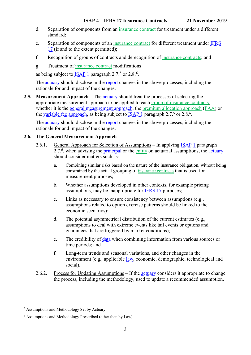- d. Separation of components from an insurance contract for treatment under a different standard;
- e. Separation of components of an insurance contract for different treatment under [IFRS](https://www.actuaries.org/IAA/Documents/CTTEES_ASC/ISAPs_Glossary_Terms/IFRS17.html)  [17](https://www.actuaries.org/IAA/Documents/CTTEES_ASC/ISAPs_Glossary_Terms/IFRS17.html) (if and to the extent permitted);
- f. Recognition of groups of contracts and derecognition of insurance contracts; and
- g. Treatment of insurance contract modifications

<span id="page-8-4"></span><span id="page-8-3"></span>as being subject to  $\overline{\text{ISAP}}$  1 paragraph 2.7.<sup>[5](#page-8-5)</sup> or 2.8.<sup>[6](#page-8-6)</sup>.

The [actuary](https://www.actuaries.org/IAA/Documents/CTTEES_ASC/ISAPs_Glossary_Terms/Actuary.html) should disclose in the [report](https://www.actuaries.org/IAA/Documents/CTTEES_ASC/ISAPs_Glossary_Terms/Report.html) changes in the above processes, including the rationale for and impact of the changes.

<span id="page-8-0"></span>**2.5. Measurement Approach** – The [actuary](https://www.actuaries.org/IAA/Documents/CTTEES_ASC/ISAPs_Glossary_Terms/Actuary.html) should treat the processes of selecting the appropriate measurement approach to be applied to each group of insurance contracts, whether it is the [general measurement approach,](https://www.actuaries.org/IAA/Documents/CTTEES_ASC/ISAPs_Glossary_Terms/General_Measurement_Approach.html) the premium allocation approach (PAA) or the [variable fee approach,](https://www.actuaries.org/IAA/Documents/CTTEES_ASC/ISAPs_Glossary_Terms/Variable_Fee_Approach.html) as being subject to **ISAP 1** paragraph 2.7.<sup>[5](#page-8-3)</sup> or 2.8.<sup>[6](#page-8-4)</sup>.

The [actuary](https://www.actuaries.org/IAA/Documents/CTTEES_ASC/ISAPs_Glossary_Terms/Actuary.html) should disclose in the [report](https://www.actuaries.org/IAA/Documents/CTTEES_ASC/ISAPs_Glossary_Terms/Report.html) changes in the above processes, including the rationale for and impact of the changes.

#### <span id="page-8-2"></span><span id="page-8-1"></span>**2.6. The General Measurement Approach**

- 2.6.1. General Approach for Selection of Assumptions In applying [ISAP 1](https://www.actuaries.org/IAA/Documents/CTTEES_ASC/Final_ISAPs_Posted/ISAP1_Review_adopted_1Dec2018.pdf) paragraph 2.7.**[5](#page-8-3)**, when advising the [principal](https://www.actuaries.org/IAA/Documents/CTTEES_ASC/ISAPs_Glossary_Terms/Principal.html) or the entity on actuarial assumptions, the [actuary](https://www.actuaries.org/IAA/Documents/CTTEES_ASC/ISAPs_Glossary_Terms/Actuary.html) should consider matters such as:
	- a. Combining similar risks based on the nature of the insurance obligation, without being constrained by the actual grouping of insurance contracts that is used for measurement purposes;
	- b. Whether assumptions developed in other contexts, for example pricing assumptions, may be inappropriate for [IFRS](https://www.actuaries.org/IAA/Documents/CTTEES_ASC/ISAPs_Glossary_Terms/IFRS17.html) 17 purposes;
	- c. Links as necessary to ensure consistency between assumptions (e.g., assumptions related to option exercise patterns should be linked to the economic scenarios);
	- d. The potential asymmetrical distribution of the current estimates (e.g., assumptions to deal with extreme events like tail events or options and guarantees that are triggered by market conditions);
	- e. The credibility of [data](https://www.actuaries.org/IAA/Documents/CTTEES_ASC/ISAPs_Glossary_Terms/data.html) when combining information from various sources or time periods; and
	- f. Long-term trends and seasonal variations, and other changes in the environment (e.g., applicable [law,](https://www.actuaries.org/IAA/Documents/CTTEES_ASC/ISAPs_Glossary_Terms/Law.html) economic, demographic, technological and social).
- <span id="page-8-7"></span>2.6.2. Process for Updating Assumptions – If the [actuary](https://www.actuaries.org/IAA/Documents/CTTEES_ASC/ISAPs_Glossary_Terms/Actuary.html) considers it appropriate to change the process, including the methodology, used to update a recommended assumption,

<span id="page-8-5"></span><sup>5</sup> Assumptions and Methodology Set by Actuary

<span id="page-8-6"></span><sup>6</sup> Assumptions and Methodology Prescribed (other than by Law)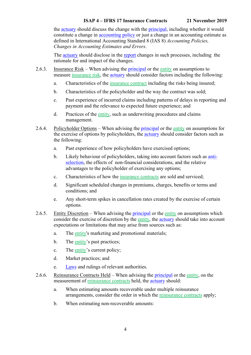the [actuary](https://www.actuaries.org/IAA/Documents/CTTEES_ASC/ISAPs_Glossary_Terms/Actuary.html) should discuss the change with the [principal,](https://www.actuaries.org/IAA/Documents/CTTEES_ASC/ISAPs_Glossary_Terms/Principal.html) including whether it would constitute a change in accounting policy or just a change in an accounting estimate as defined in International Accounting Standard 8 (IAS 8) *Accounting Policies, Changes in Accounting Estimates and Errors*.

The [actuary](https://www.actuaries.org/IAA/Documents/CTTEES_ASC/ISAPs_Glossary_Terms/Actuary.html) should disclose in the [report](https://www.actuaries.org/IAA/Documents/CTTEES_ASC/ISAPs_Glossary_Terms/Report.html) changes in such processes, including the rationale for and impact of the changes.

- 2.6.3. Insurance Risk When advising the [principal](https://www.actuaries.org/IAA/Documents/CTTEES_ASC/ISAPs_Glossary_Terms/Principal.html) or the entity on assumptions to measure insurance risk, the [actuary](https://www.actuaries.org/IAA/Documents/CTTEES_ASC/ISAPs_Glossary_Terms/Actuary.html) should consider factors including the following:
	- a. Characteristics of the insurance contract including the risks being insured;
	- b. Characteristics of the policyholder and the way the contract was sold;
	- c. Past experience of incurred claims including patterns of delays in reporting and payment and the relevance to expected future experience; and
	- d. Practices of the entity, such as underwriting procedures and claims management.
- 2.6.4. Policyholder Options When advising the [principal](https://www.actuaries.org/IAA/Documents/CTTEES_ASC/ISAPs_Glossary_Terms/Principal.html) or the entity on assumptions for the exercise of options by policyholders, the [actuary](https://www.actuaries.org/IAA/Documents/CTTEES_ASC/ISAPs_Glossary_Terms/Actuary.html) should consider factors such as the following:
	- a. Past experience of how policyholders have exercised options;
	- b. Likely behaviour of policyholders, taking into account factors such as [anti](https://www.actuaries.org/IAA/Documents/CTTEES_ASC/ISAPs_Glossary_Terms/Anti_Selection.html)[selection,](https://www.actuaries.org/IAA/Documents/CTTEES_ASC/ISAPs_Glossary_Terms/Anti_Selection.html) the effects of non-financial considerations, and the relative advantages to the policyholder of exercising any options;
	- c. Characteristics of how the insurance contracts are sold and serviced;
	- d. Significant scheduled changes in premiums, charges, benefits or terms and conditions; and
	- e. Any short-term spikes in cancellation rates created by the exercise of certain options.
- 2.6.5. Entity Discretion When advising the [principal](https://www.actuaries.org/IAA/Documents/CTTEES_ASC/ISAPs_Glossary_Terms/Principal.html) or the entity on assumptions which consider the exercise of discretion by the entity, the [actuary](https://www.actuaries.org/IAA/Documents/CTTEES_ASC/ISAPs_Glossary_Terms/Actuary.html) should take into account expectations or limitations that may arise from sources such as:
	- a. The entity's marketing and promotional materials;
	- b. The entity's past practices;
	- c. The entity's current policy;
	- d. Market practices; and
	- e. [Laws](https://www.actuaries.org/IAA/Documents/CTTEES_ASC/ISAPs_Glossary_Terms/Law.html) and rulings of relevant authorities.
- 2.6.6. Reinsurance Contracts Held When advising the [principal](https://www.actuaries.org/IAA/Documents/CTTEES_ASC/ISAPs_Glossary_Terms/Principal.html) or the entity, on the measurement of reinsurance contracts held, the [actuary](https://www.actuaries.org/IAA/Documents/CTTEES_ASC/ISAPs_Glossary_Terms/Actuary.html) should:
	- a. When estimating amounts recoverable under multiple reinsurance arrangements, consider the order in which the reinsurance contracts apply;
	- b. When estimating non-recoverable amounts: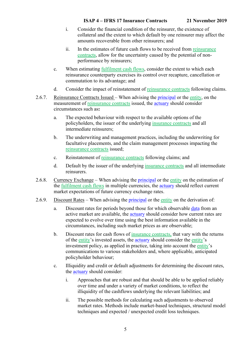- i. Consider the financial condition of the reinsurer, the existence of collateral and the extent to which default by one reinsurer may affect the amounts recoverable from other reinsurers; and
- ii. In the estimates of future cash flows to be received from reinsurance contracts, allow for the uncertainty caused by the potential of nonperformance by reinsurers;
- c. When estimating <u>fulfilment cash flows</u>, consider the extent to which each reinsurance counterparty exercises its control over recapture, cancellation or commutation to its advantage; and
- d. Consider the impact of reinstatement of reinsurance contracts following claims.
- 2.6.7. Reinsurance Contracts Issued When advising the [principal](https://www.actuaries.org/IAA/Documents/CTTEES_ASC/ISAPs_Glossary_Terms/Principal.html) or the entity, on the measurement of reinsurance contracts issued, the [actuary](https://www.actuaries.org/IAA/Documents/CTTEES_ASC/ISAPs_Glossary_Terms/Actuary.html) should consider circumstances such as**:**
	- a. The expected behaviour with respect to the available options of the policyholders, the issuer of the underlying insurance contracts and all intermediate reinsurers;
	- b. The underwriting and management practices, including the underwriting for facultative placements, and the claim management processes impacting the reinsurance contracts issued;
	- c. Reinstatement of reinsurance contracts following claims; and
	- d. Default by the issuer of the underlying insurance contracts and all intermediate reinsurers.
- 2.6.8. Currency Exchange When advising the [principal](https://www.actuaries.org/IAA/Documents/CTTEES_ASC/ISAPs_Glossary_Terms/Principal.html) or the entity on the estimation of the fulfilment cash flows in multiple currencies, the [actuary](https://www.actuaries.org/IAA/Documents/CTTEES_ASC/ISAPs_Glossary_Terms/Actuary.html) should reflect current market expectations of future currency exchange rates.
- 2.6.9. Discount Rates When advising the [principal](https://www.actuaries.org/IAA/Documents/CTTEES_ASC/ISAPs_Glossary_Terms/Principal.html) or the entity on the derivation of:
	- a. Discount rates for periods beyond those for which observable [data](https://www.actuaries.org/IAA/Documents/CTTEES_ASC/ISAPs_Glossary_Terms/data.html) from an active market are available, the [actuary](https://www.actuaries.org/IAA/Documents/CTTEES_ASC/ISAPs_Glossary_Terms/Actuary.html) should consider how current rates are expected to evolve over time using the best information available in the circumstances, including such market prices as are observable;
	- b. Discount rates for cash flows of insurance contracts, that vary with the returns of the entity's invested assets, the [actuary](https://www.actuaries.org/IAA/Documents/CTTEES_ASC/ISAPs_Glossary_Terms/Actuary.html) should consider the entity's investment policy, as applied in practice, taking into account the entity's communications to various stakeholders and, where applicable, anticipated policyholder behaviour;
	- c. Illiquidity and credit or default adjustments for determining the discount rates, the [actuary](https://www.actuaries.org/IAA/Documents/CTTEES_ASC/ISAPs_Glossary_Terms/Actuary.html) should consider:
		- i. Approaches that are robust and that should be able to be applied reliably over time and under a variety of market conditions, to reflect the illiquidity of the cashflows underlying the relevant liabilities; and
		- ii. The possible methods for calculating such adjustments to observed market rates. Methods include market-based techniques, structural model techniques and expected / unexpected credit loss techniques.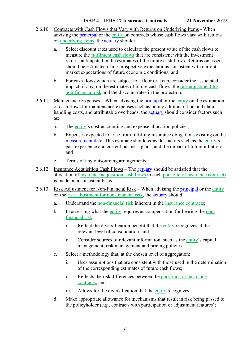- 2.6.10. Contracts with Cash Flows that Vary with Returns on Underlying Items When advising the [principal](https://www.actuaries.org/IAA/Documents/CTTEES_ASC/ISAPs_Glossary_Terms/Principal.html) or the entity on contracts whose cash flows vary with returns on underlying items, the [actuary](https://www.actuaries.org/IAA/Documents/CTTEES_ASC/ISAPs_Glossary_Terms/Actuary.html) should:
	- a. Select discount rates used to calculate the present value of the cash flows to measure the fulfilment cash flows that are consistent with the investment returns anticipated in the estimates of the future cash flows. Returns on assets should be estimated using prospective expectations consistent with current market expectations of future economic conditions; and
	- b. For cash flows which are subject to a floor or a cap, consider the associated impact, if any, on the estimates of future cash flows, the risk adjustment for non-financial risk and the discount rates in the projection.
- 2.6.11. Maintenance Expenses When advising the [principal](https://www.actuaries.org/IAA/Documents/CTTEES_ASC/ISAPs_Glossary_Terms/Principal.html) or the entity on the estimation of cash flows for maintenance expenses such as policy administration and claim handling costs, and attributable overheads, the **actuary** should consider factors such as:
	- a. The entity's cost-accounting and expense allocation policies;
	- b. Expenses expected to arise from fulfilling insurance obligations existing on the [measurement](https://www.actuaries.org/IAA/Documents/CTTEES_ASC/ISAPs_Glossary_Terms/Measurement_Date.html) date. This estimate should consider factors such as the entity's past experience and current business plans, and the impact of future inflation; and
	- c. Terms of any outsourcing arrangements.
- 2.6.12. Insurance Acquisition Cash Flows The [actuary](https://www.actuaries.org/IAA/Documents/CTTEES_ASC/ISAPs_Glossary_Terms/Actuary.html) should be satisfied that the allocation of insurance acquisition cash flows to each portfolio of insurance contracts is made on a consistent basis.
- <span id="page-11-0"></span>2.6.13. Risk Adjustment for Non-Financial Risk – When advising the [principal](https://www.actuaries.org/IAA/Documents/CTTEES_ASC/ISAPs_Glossary_Terms/Principal.html) or the entity on the risk adjustment for non-financial risk, the [actuary](https://www.actuaries.org/IAA/Documents/CTTEES_ASC/ISAPs_Glossary_Terms/Actuary.html) should:
	- a. Understand the non-financial risk inherent in the insurance contracts;
	- b. In assessing what the entity requires as compensation for bearing the nonfinancial risk:
		- i. Reflect the diversification benefit that the entity recognizes at the relevant level of consolidation; and
		- ii. Consider sources of relevant information, such as the entity's capital management, risk management and pricing policies.
	- c. Select a methodology that, at the chosen level of aggregation:
		- i. Uses assumptions that are consistent with those used in the determination of the corresponding estimates of future cash flows;
		- ii. Reflects the risk differences between the portfolios of insurance contracts; and
		- iii. Allows for the diversification that the entity recognizes.
	- d. Make appropriate allowance for mechanisms that result in risk being passed to the policyholder (e.g., contracts with participation or adjustment features);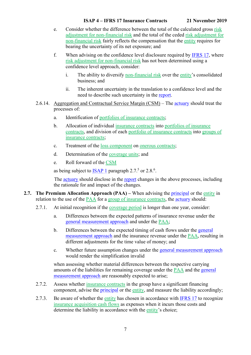- e. Consider whether the difference between the total of the calculated gross risk adjustment for non-financial risk and the total of the ceded risk adjustment for non-financial risk fairly reflects the compensation that the entity requires for bearing the uncertainty of its net exposure; and
- <span id="page-12-2"></span>f. When advising on the confidence level disclosure required by [IFRS](https://www.actuaries.org/IAA/Documents/CTTEES_ASC/ISAPs_Glossary_Terms/IFRS17.html) 17, where risk adjustment for non-financial risk has not been determined using a confidence level approach, consider:
	- i. The ability to diversify non-financial risk over the entity's consolidated business; and
	- ii. The inherent uncertainty in the translation to a confidence level and the need to describe such uncertainty in the [report.](https://www.actuaries.org/IAA/Documents/CTTEES_ASC/ISAPs_Glossary_Terms/Report.html)
- <span id="page-12-1"></span>2.6.14. Aggregation and Contractual Service Margin (CSM) – The [actuary](https://www.actuaries.org/IAA/Documents/CTTEES_ASC/ISAPs_Glossary_Terms/Actuary.html) should treat the processes of:
	- a. Identification of portfolios of insurance contracts;
	- b. Allocation of individual insurance contracts into portfolios of insurance contracts, and division of each portfolio of insurance contracts into groups of insurance contracts;
	- c. Treatment of the loss component on onerous contracts;
	- d. Determination of the coverage units; and
	- e. Roll forward of the CSM

as being subject to  $\frac{ISAP}{I}$  paragraph 2.7.<sup>[5](#page-8-3)</sup> or 2.8.<sup>[6](#page-8-4)</sup>.

The [actuary](https://www.actuaries.org/IAA/Documents/CTTEES_ASC/ISAPs_Glossary_Terms/Actuary.html) should disclose in the [report](https://www.actuaries.org/IAA/Documents/CTTEES_ASC/ISAPs_Glossary_Terms/Report.html) changes in the above processes, including the rationale for and impact of the changes.

- <span id="page-12-0"></span>**2.7. The Premium Allocation Approach (PAA) –** When advising the [principal](https://www.actuaries.org/IAA/Documents/CTTEES_ASC/ISAPs_Glossary_Terms/Principal.html) or the entity in relation to the use of the PAA for a group of insurance contracts, the [actuary](https://www.actuaries.org/IAA/Documents/CTTEES_ASC/ISAPs_Glossary_Terms/Actuary.html) should:
	- 2.7.1. At initial recognition if the coverage period is longer than one year, consider:
		- a. Differences between the expected patterns of insurance revenue under the [general measurement approach](https://www.actuaries.org/IAA/Documents/CTTEES_ASC/ISAPs_Glossary_Terms/General_Measurement_Approach.html) and under the PAA;
		- b. Differences between the expected timing of cash flows under the [general](https://www.actuaries.org/IAA/Documents/CTTEES_ASC/ISAPs_Glossary_Terms/General_Measurement_Approach.html)  [measurement approach](https://www.actuaries.org/IAA/Documents/CTTEES_ASC/ISAPs_Glossary_Terms/General_Measurement_Approach.html) and the insurance revenue under the PAA, resulting in different adjustments for the time value of money; and
		- c. Whether future assumption changes under the [general measurement approach](https://www.actuaries.org/IAA/Documents/CTTEES_ASC/ISAPs_Glossary_Terms/General_Measurement_Approach.html) would render the simplification invalid

when assessing whether material differences between the respective carrying amounts of the liabilities for remaining coverage under the PAA and the [general](https://www.actuaries.org/IAA/Documents/CTTEES_ASC/ISAPs_Glossary_Terms/General_Measurement_Approach.html)  [measurement approach](https://www.actuaries.org/IAA/Documents/CTTEES_ASC/ISAPs_Glossary_Terms/General_Measurement_Approach.html) are reasonably expected to arise;

- 2.7.2. Assess whether insurance contracts in the group have a significant financing component, advise the [principal](https://www.actuaries.org/IAA/Documents/CTTEES_ASC/ISAPs_Glossary_Terms/Principal.html) or the entity, and measure the liability accordingly;
- 2.7.3. Be aware of whether the entity has chosen in accordance with [IFRS 17](https://www.actuaries.org/IAA/Documents/CTTEES_ASC/ISAPs_Glossary_Terms/IFRS17.html) to recognize insurance acquisition cash flows as expenses when it incurs those costs and determine the liability in accordance with the entity's choice;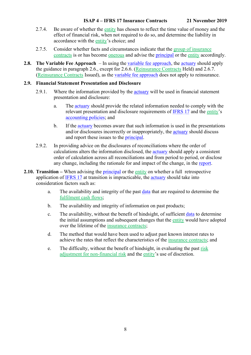- 2.7.4. Be aware of whether the entity has chosen to reflect the time value of money and the effect of financial risk, when not required to do so, and determine the liability in accordance with the entity's choice; and
- 2.7.5. Consider whether facts and circumstances indicate that the group of insurance contracts is or has become onerous and advise the [principal](https://www.actuaries.org/IAA/Documents/CTTEES_ASC/ISAPs_Glossary_Terms/Principal.html) or the entity accordingly.
- <span id="page-13-0"></span>**2.8. The Variable Fee Approach** – In using the [variable fee approach,](https://www.actuaries.org/IAA/Documents/CTTEES_ASC/ISAPs_Glossary_Terms/Variable_Fee_Approach.html) the [actuary](https://www.actuaries.org/IAA/Documents/CTTEES_ASC/ISAPs_Glossary_Terms/Actuary.html) should apply the guidance in paragraph [2.6.](#page-8-1), except for 2.6.6. (Reinsurance Contracts Held) and 2.6.7. (Reinsurance Contracts Issued), as the [variable fee approach](https://www.actuaries.org/IAA/Documents/CTTEES_ASC/ISAPs_Glossary_Terms/Variable_Fee_Approach.html) does not apply to reinsurance.

### <span id="page-13-1"></span>**2.9. Financial Statement Presentation and Disclosure**

- 2.9.1. Where the information provided by the [actuary](https://www.actuaries.org/IAA/Documents/CTTEES_ASC/ISAPs_Glossary_Terms/Actuary.html) will be used in financial statement presentation and disclosure:
	- a. The [actuary](https://www.actuaries.org/IAA/Documents/CTTEES_ASC/ISAPs_Glossary_Terms/Actuary.html) should provide the related information needed to comply with the relevant presentation and disclosure requirements of [IFRS 17](https://www.actuaries.org/IAA/Documents/CTTEES_ASC/ISAPs_Glossary_Terms/IFRS17.html) and the entity's [accounting policies;](https://www.actuaries.org/IAA/Documents/CTTEES_ASC/ISAPs_Glossary_Terms/Accounting_Policies.html) and
	- b. If the [actuary](https://www.actuaries.org/IAA/Documents/CTTEES_ASC/ISAPs_Glossary_Terms/Actuary.html) becomes aware that such information is used in the presentations and/or disclosures incorrectly or inappropriately, the [actuary](https://www.actuaries.org/IAA/Documents/CTTEES_ASC/ISAPs_Glossary_Terms/Actuary.html) should discuss and report these issues to the [principal.](https://www.actuaries.org/IAA/Documents/CTTEES_ASC/ISAPs_Glossary_Terms/Principal.html)
- <span id="page-13-3"></span>2.9.2. In providing advice on the disclosures of reconciliations where the order of calculations alters the information disclosed, the [actuary](https://www.actuaries.org/IAA/Documents/CTTEES_ASC/ISAPs_Glossary_Terms/Actuary.html) should apply a consistent order of calculation across all reconciliations and from period to period, or disclose any change, including the rationale for and impact of the change, in the [report.](https://www.actuaries.org/IAA/Documents/CTTEES_ASC/ISAPs_Glossary_Terms/Report.html)
- <span id="page-13-2"></span>**2.10. Transition** – When advising the [principal](https://www.actuaries.org/IAA/Documents/CTTEES_ASC/ISAPs_Glossary_Terms/Principal.html) or the entity on whether a full retrospective application of [IFRS 17](https://www.actuaries.org/IAA/Documents/CTTEES_ASC/ISAPs_Glossary_Terms/IFRS17.html) at transition is impracticable, the [actuary](https://www.actuaries.org/IAA/Documents/CTTEES_ASC/ISAPs_Glossary_Terms/Actuary.html) should take into consideration factors such as:
	- a. The availability and integrity of the past [data](https://www.actuaries.org/IAA/Documents/CTTEES_ASC/ISAPs_Glossary_Terms/data.html) that are required to determine the fulfilment cash flows;
	- b. The availability and integrity of information on past products;
	- c. The availability, without the benefit of hindsight, of sufficient [data](https://www.actuaries.org/IAA/Documents/CTTEES_ASC/ISAPs_Glossary_Terms/data.html) to determine the initial assumptions and subsequent changes that the entity would have adopted over the lifetime of the insurance contracts;
	- d. The method that would have been used to adjust past known interest rates to achieve the rates that reflect the characteristics of the insurance contracts; and
	- e. The difficulty, without the benefit of hindsight, in evaluating the past risk adjustment for non-financial risk and the entity's use of discretion.